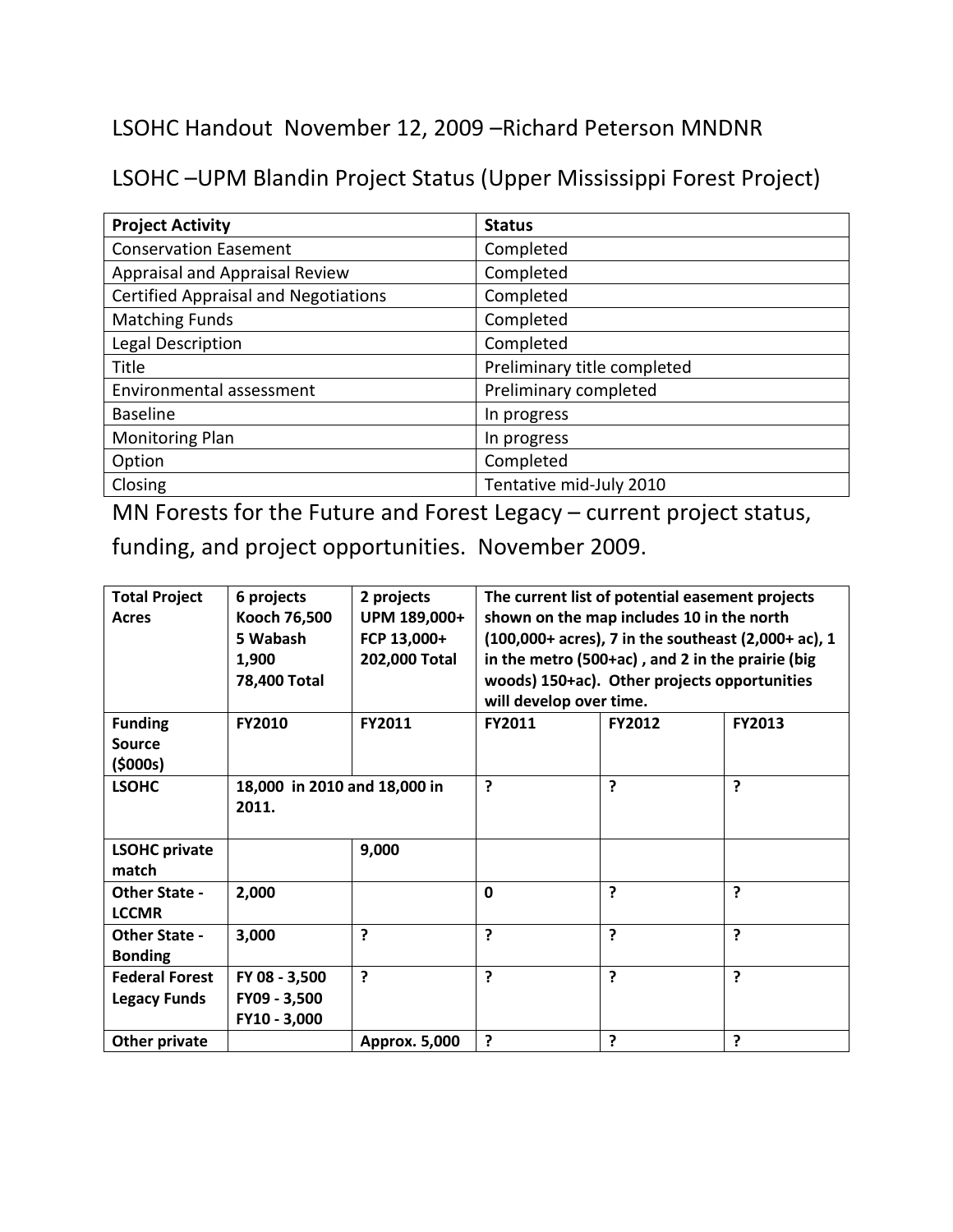LSOHC Handout November 12, 2009 –Richard Peterson MNDNR

LSOHC –UPM Blandin Project Status (Upper Mississippi Forest Project)

| <b>Project Activity</b>                     | <b>Status</b>               |
|---------------------------------------------|-----------------------------|
| <b>Conservation Easement</b>                | Completed                   |
| Appraisal and Appraisal Review              | Completed                   |
| <b>Certified Appraisal and Negotiations</b> | Completed                   |
| <b>Matching Funds</b>                       | Completed                   |
| Legal Description                           | Completed                   |
| Title                                       | Preliminary title completed |
| Environmental assessment                    | Preliminary completed       |
| <b>Baseline</b>                             | In progress                 |
| <b>Monitoring Plan</b>                      | In progress                 |
| Option                                      | Completed                   |
| Closing                                     | Tentative mid-July 2010     |

MN Forests for the Future and Forest Legacy – current project status,

funding, and project opportunities. November 2009.

| <b>Total Project</b><br><b>Acres</b>         | 6 projects<br>Kooch 76,500<br>5 Wabash<br>1,900<br>78,400 Total | 2 projects<br>UPM 189,000+<br>FCP 13,000+<br>202,000 Total | The current list of potential easement projects<br>shown on the map includes 10 in the north<br>(100,000+ acres), 7 in the southeast (2,000+ ac), 1<br>in the metro (500+ac), and 2 in the prairie (big<br>woods) 150+ac). Other projects opportunities<br>will develop over time. |               |               |
|----------------------------------------------|-----------------------------------------------------------------|------------------------------------------------------------|------------------------------------------------------------------------------------------------------------------------------------------------------------------------------------------------------------------------------------------------------------------------------------|---------------|---------------|
| <b>Funding</b><br><b>Source</b><br>(\$000s)  | <b>FY2010</b>                                                   | <b>FY2011</b>                                              | <b>FY2011</b>                                                                                                                                                                                                                                                                      | <b>FY2012</b> | <b>FY2013</b> |
| <b>LSOHC</b>                                 | 18,000 in 2010 and 18,000 in<br>2011.                           |                                                            | ?                                                                                                                                                                                                                                                                                  | 7             | ?             |
| <b>LSOHC private</b><br>match                |                                                                 | 9,000                                                      |                                                                                                                                                                                                                                                                                    |               |               |
| <b>Other State -</b><br><b>LCCMR</b>         | 2,000                                                           |                                                            | $\mathbf 0$                                                                                                                                                                                                                                                                        | 2             | ?             |
| <b>Other State -</b><br><b>Bonding</b>       | 3,000                                                           | ?                                                          | $\overline{?}$                                                                                                                                                                                                                                                                     | ?             | ?             |
| <b>Federal Forest</b><br><b>Legacy Funds</b> | FY 08 - 3,500<br>FY09 - 3,500<br>FY10 - 3,000                   | ?                                                          | ?                                                                                                                                                                                                                                                                                  | 5             | ?             |
| Other private                                |                                                                 | Approx. 5,000                                              | ?                                                                                                                                                                                                                                                                                  | ?             | ?             |